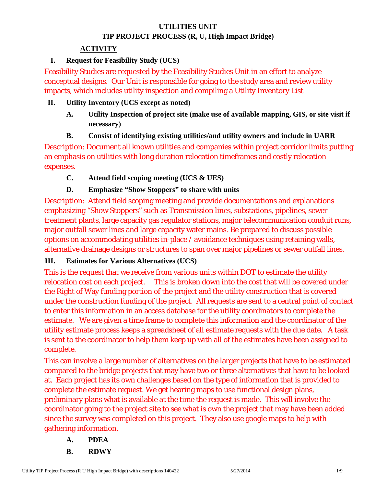### **ACTIVITY**

**I. Request for Feasibility Study (UCS)**

Feasibility Studies are requested by the Feasibility Studies Unit in an effort to analyze conceptual designs. Our Unit is responsible for going to the study area and review utility impacts, which includes utility inspection and compiling a Utility Inventory List

- **II. Utility Inventory (UCS except as noted)**
	- **A. Utility Inspection of project site (make use of available mapping, GIS, or site visit if necessary)**
	- **B. Consist of identifying existing utilities/and utility owners and include in UARR**

Description: Document all known utilities and companies within project corridor limits putting an emphasis on utilities with long duration relocation timeframes and costly relocation expenses.

**C. Attend field scoping meeting (UCS & UES)**

## **D. Emphasize "Show Stoppers" to share with units**

Description: Attend field scoping meeting and provide documentations and explanations emphasizing "Show Stoppers" such as Transmission lines, substations, pipelines, sewer treatment plants, large capacity gas regulator stations, major telecommunication conduit runs, major outfall sewer lines and large capacity water mains. Be prepared to discuss possible options on accommodating utilities in-place / avoidance techniques using retaining walls, alternative drainage designs or structures to span over major pipelines or sewer outfall lines.

## **III. Estimates for Various Alternatives (UCS)**

This is the request that we receive from various units within DOT to estimate the utility relocation cost on each project. This is broken down into the cost that will be covered under the Right of Way funding portion of the project and the utility construction that is covered under the construction funding of the project. All requests are sent to a central point of contact to enter this information in an access database for the utility coordinators to complete the estimate. We are given a time frame to complete this information and the coordinator of the utility estimate process keeps a spreadsheet of all estimate requests with the due date. A task is sent to the coordinator to help them keep up with all of the estimates have been assigned to complete.

This can involve a large number of alternatives on the larger projects that have to be estimated compared to the bridge projects that may have two or three alternatives that have to be looked at. Each project has its own challenges based on the type of information that is provided to complete the estimate request. We get hearing maps to use functional design plans, preliminary plans what is available at the time the request is made. This will involve the coordinator going to the project site to see what is own the project that may have been added since the survey was completed on this project. They also use google maps to help with gathering information.

- **A. PDEA**
- **B. RDWY**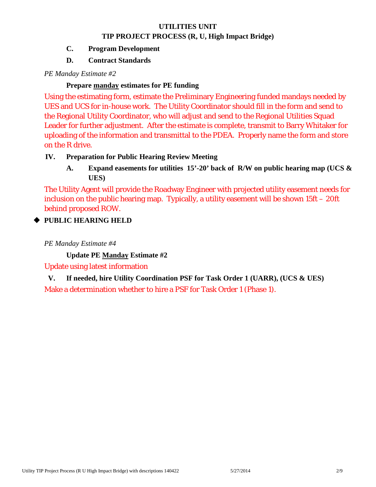#### **C. Program Development**

#### **D. Contract Standards**

*PE Manday Estimate #2*

#### **Prepare manday estimates for PE funding**

Using the estimating form, estimate the Preliminary Engineering funded mandays needed by UES and UCS for in-house work. The Utility Coordinator should fill in the form and send to the Regional Utility Coordinator, who will adjust and send to the Regional Utilities Squad Leader for further adjustment. After the estimate is complete, transmit to Barry Whitaker for uploading of the information and transmittal to the PDEA. Properly name the form and store on the R drive.

#### **IV. Preparation for Public Hearing Review Meeting**

**A. Expand easements for utilities 15'-20' back of R/W on public hearing map (UCS & UES)**

The Utility Agent will provide the Roadway Engineer with projected utility easement needs for inclusion on the public hearing map. Typically, a utility easement will be shown 15ft – 20ft behind proposed ROW.

#### **PUBLIC HEARING HELD**

*PE Manday Estimate #4*

**Update PE Manday Estimate #2**

Update using latest information

**V. If needed, hire Utility Coordination PSF for Task Order 1 (UARR), (UCS & UES)** Make a determination whether to hire a PSF for Task Order 1 (Phase 1).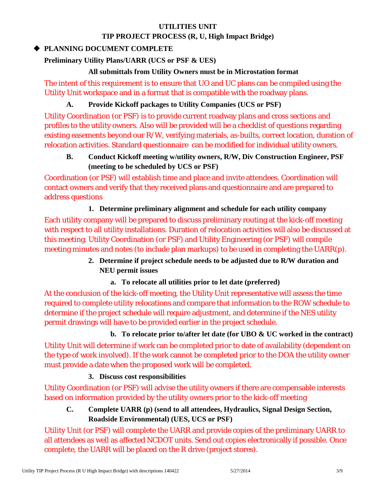## **TIP PROJECT PROCESS (R, U, High Impact Bridge)**

# **PLANNING DOCUMENT COMPLETE**

# **Preliminary Utility Plans/UARR (UCS or PSF & UES)**

## **All submittals from Utility Owners must be in Microstation format**

The intent of this requirement is to ensure that UO and UC plans can be compiled using the Utility Unit workspace and in a format that is compatible with the roadway plans.

# **A. Provide Kickoff packages to Utility Companies (UCS or PSF)**

Utility Coordination (or PSF) is to provide current roadway plans and cross sections and profiles to the utility owners. Also will be provided will be a checklist of questions regarding existing easements beyond our R/W, verifying materials, as-builts, correct location, duration of relocation activities. Standard questionnaire can be modified for individual utility owners.

**B. Conduct Kickoff meeting w/utility owners, R/W, Div Construction Engineer, PSF (meeting to be scheduled by UCS or PSF)**

Coordination (or PSF) will establish time and place and invite attendees. Coordination will contact owners and verify that they received plans and questionnaire and are prepared to address questions

## **1. Determine preliminary alignment and schedule for each utility company**

Each utility company will be prepared to discuss preliminary routing at the kick-off meeting with respect to all utility installations. Duration of relocation activities will also be discussed at this meeting. Utility Coordination (or PSF) and Utility Engineering (or PSF) will compile meeting minutes and notes (to include plan markups) to be used in completing the UARR(p).

- **2. Determine if project schedule needs to be adjusted due to R/W duration and NEU permit issues**
	- **a. To relocate all utilities prior to let date (preferred)**

At the conclusion of the kick-off meeting, the Utility Unit representative will assess the time required to complete utility relocations and compare that information to the ROW schedule to determine if the project schedule will require adjustment, and determine if the NES utility permit drawings will have to be provided earlier in the project schedule.

## **b. To relocate prior to/after let date (for UBO & UC worked in the contract)**

Utility Unit will determine if work can be completed prior to date of availability (dependent on the type of work involved). If the work cannot be completed prior to the DOA the utility owner must provide a date when the proposed work will be completed.

## **3. Discuss cost responsibilities**

Utility Coordination (or PSF) will advise the utility owners if there are compensable interests based on information provided by the utility owners prior to the kick-off meeting

**C. Complete UARR (p) (send to all attendees, Hydraulics, Signal Design Section, Roadside Environmental) (UES, UCS or PSF)**

Utility Unit (or PSF) will complete the UARR and provide copies of the preliminary UARR to all attendees as well as affected NCDOT units. Send out copies electronically if possible. Once complete, the UARR will be placed on the R drive (project stores).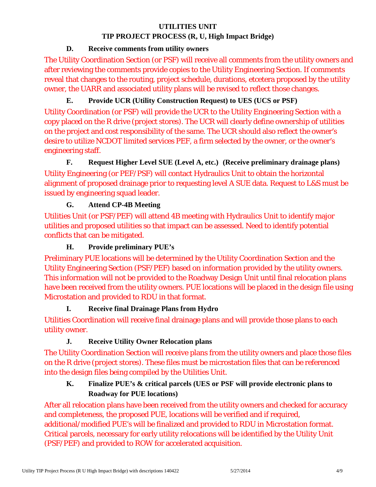### **D. Receive comments from utility owners**

The Utility Coordination Section (or PSF) will receive all comments from the utility owners and after reviewing the comments provide copies to the Utility Engineering Section. If comments reveal that changes to the routing, project schedule, durations, etcetera proposed by the utility owner, the UARR and associated utility plans will be revised to reflect those changes.

# **E. Provide UCR (Utility Construction Request) to UES (UCS or PSF)**

Utility Coordination (or PSF) will provide the UCR to the Utility Engineering Section with a copy placed on the R drive (project stores). The UCR will clearly define ownership of utilities on the project and cost responsibility of the same. The UCR should also reflect the owner's desire to utilize NCDOT limited services PEF, a firm selected by the owner, or the owner's engineering staff.

**F. Request Higher Level SUE (Level A, etc.) (Receive preliminary drainage plans)** Utility Engineering (or PEF/PSF) will contact Hydraulics Unit to obtain the horizontal alignment of proposed drainage prior to requesting level A SUE data. Request to L&S must be issued by engineering squad leader.

## **G. Attend CP-4B Meeting**

Utilities Unit (or PSF/PEF) will attend 4B meeting with Hydraulics Unit to identify major utilities and proposed utilities so that impact can be assessed. Need to identify potential conflicts that can be mitigated.

# **H. Provide preliminary PUE's**

Preliminary PUE locations will be determined by the Utility Coordination Section and the Utility Engineering Section (PSF/PEF) based on information provided by the utility owners. This information will not be provided to the Roadway Design Unit until final relocation plans have been received from the utility owners. PUE locations will be placed in the design file using Microstation and provided to RDU in that format.

## **I. Receive final Drainage Plans from Hydro**

Utilities Coordination will receive final drainage plans and will provide those plans to each utility owner.

# **J. Receive Utility Owner Relocation plans**

The Utility Coordination Section will receive plans from the utility owners and place those files on the R drive (project stores). These files must be microstation files that can be referenced into the design files being compiled by the Utilities Unit.

# **K. Finalize PUE's & critical parcels (UES or PSF will provide electronic plans to Roadway for PUE locations)**

After all relocation plans have been received from the utility owners and checked for accuracy and completeness, the proposed PUE, locations will be verified and if required, additional/modified PUE's will be finalized and provided to RDU in Microstation format. Critical parcels, necessary for early utility relocations will be identified by the Utility Unit (PSF/PEF) and provided to ROW for accelerated acquisition.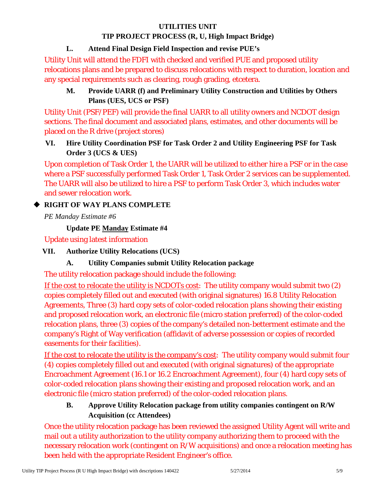## **TIP PROJECT PROCESS (R, U, High Impact Bridge)**

# **L. Attend Final Design Field Inspection and revise PUE's**

Utility Unit will attend the FDFI with checked and verified PUE and proposed utility relocations plans and be prepared to discuss relocations with respect to duration, location and any special requirements such as clearing, rough grading, etcetera.

**M. Provide UARR (f) and Preliminary Utility Construction and Utilities by Others Plans (UES, UCS or PSF)**

Utility Unit (PSF/PEF) will provide the final UARR to all utility owners and NCDOT design sections. The final document and associated plans, estimates, and other documents will be placed on the R drive (project stores)

**VI. Hire Utility Coordination PSF for Task Order 2 and Utility Engineering PSF for Task Order 3 (UCS & UES)**

Upon completion of Task Order 1, the UARR will be utilized to either hire a PSF or in the case where a PSF successfully performed Task Order 1, Task Order 2 services can be supplemented. The UARR will also be utilized to hire a PSF to perform Task Order 3, which includes water and sewer relocation work.

## **RIGHT OF WAY PLANS COMPLETE**

*PE Manday Estimate #6*

**Update PE Manday Estimate #4**

Update using latest information

## **VII. Authorize Utility Relocations (UCS)**

**A. Utility Companies submit Utility Relocation package**

The utility relocation package should include the following:

If the cost to relocate the utility is NCDOTs cost: The utility company would submit two (2) copies completely filled out and executed (with original signatures) 16.8 Utility Relocation Agreements, Three (3) hard copy sets of color-coded relocation plans showing their existing and proposed relocation work, an electronic file (micro station preferred) of the color-coded relocation plans, three (3) copies of the company's detailed non-betterment estimate and the company's Right of Way verification (affidavit of adverse possession or copies of recorded easements for their facilities).

If the cost to relocate the utility is the company's cost: The utility company would submit four (4) copies completely filled out and executed (with original signatures) of the appropriate Encroachment Agreement (16.1 or 16.2 Encroachment Agreement), four (4) hard copy sets of color-coded relocation plans showing their existing and proposed relocation work, and an electronic file (micro station preferred) of the color-coded relocation plans.

**B. Approve Utility Relocation package from utility companies contingent on R/W Acquisition (cc Attendees)**

Once the utility relocation package has been reviewed the assigned Utility Agent will write and mail out a utility authorization to the utility company authorizing them to proceed with the necessary relocation work (contingent on R/W acquisitions) and once a relocation meeting has been held with the appropriate Resident Engineer's office.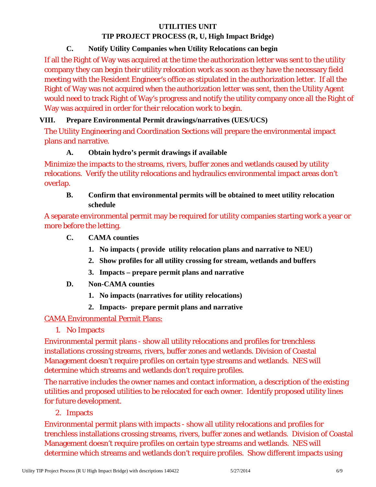## **TIP PROJECT PROCESS (R, U, High Impact Bridge)**

# **C. Notify Utility Companies when Utility Relocations can begin**

If all the Right of Way was acquired at the time the authorization letter was sent to the utility company they can begin their utility relocation work as soon as they have the necessary field meeting with the Resident Engineer's office as stipulated in the authorization letter. If all the Right of Way was not acquired when the authorization letter was sent, then the Utility Agent would need to track Right of Way's progress and notify the utility company once all the Right of Way was acquired in order for their relocation work to begin.

## **VIII. Prepare Environmental Permit drawings/narratives (UES/UCS)**

The Utility Engineering and Coordination Sections will prepare the environmental impact plans and narrative.

### **A. Obtain hydro's permit drawings if available**

Minimize the impacts to the streams, rivers, buffer zones and wetlands caused by utility relocations. Verify the utility relocations and hydraulics environmental impact areas don't overlap.

### **B. Confirm that environmental permits will be obtained to meet utility relocation schedule**

A separate environmental permit may be required for utility companies starting work a year or more before the letting.

- **C. CAMA counties**
	- **1. No impacts ( provide utility relocation plans and narrative to NEU)**
	- **2. Show profiles for all utility crossing for stream, wetlands and buffers**
	- **3. Impacts – prepare permit plans and narrative**
- **D. Non-CAMA counties**
	- **1. No impacts (narratives for utility relocations)**
	- **2. Impacts- prepare permit plans and narrative**

## CAMA Environmental Permit Plans:

1. No Impacts

Environmental permit plans - show all utility relocations and profiles for trenchless installations crossing streams, rivers, buffer zones and wetlands. Division of Coastal Management doesn't require profiles on certain type streams and wetlands. NES will determine which streams and wetlands don't require profiles.

The narrative includes the owner names and contact information, a description of the existing utilities and proposed utilities to be relocated for each owner. Identify proposed utility lines for future development.

## 2. Impacts

Environmental permit plans with impacts - show all utility relocations and profiles for trenchless installations crossing streams, rivers, buffer zones and wetlands. Division of Coastal Management doesn't require profiles on certain type streams and wetlands. NES will determine which streams and wetlands don't require profiles. Show different impacts using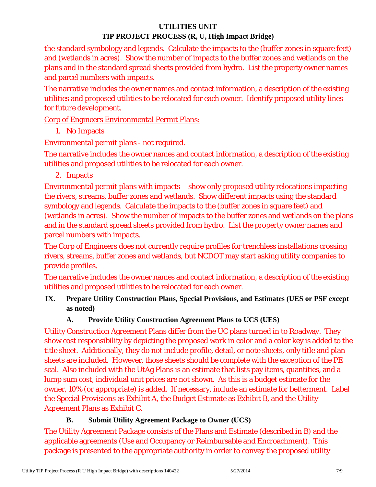# **TIP PROJECT PROCESS (R, U, High Impact Bridge)**

the standard symbology and legends. Calculate the impacts to the (buffer zones in square feet) and (wetlands in acres). Show the number of impacts to the buffer zones and wetlands on the plans and in the standard spread sheets provided from hydro. List the property owner names and parcel numbers with impacts.

The narrative includes the owner names and contact information, a description of the existing utilities and proposed utilities to be relocated for each owner. Identify proposed utility lines for future development.

Corp of Engineers Environmental Permit Plans:

1. No Impacts

Environmental permit plans - not required.

The narrative includes the owner names and contact information, a description of the existing utilities and proposed utilities to be relocated for each owner.

2. Impacts

Environmental permit plans with impacts – show only proposed utility relocations impacting the rivers, streams, buffer zones and wetlands. Show different impacts using the standard symbology and legends. Calculate the impacts to the (buffer zones in square feet) and (wetlands in acres). Show the number of impacts to the buffer zones and wetlands on the plans and in the standard spread sheets provided from hydro. List the property owner names and parcel numbers with impacts.

The Corp of Engineers does not currently require profiles for trenchless installations crossing rivers, streams, buffer zones and wetlands, but NCDOT may start asking utility companies to provide profiles.

The narrative includes the owner names and contact information, a description of the existing utilities and proposed utilities to be relocated for each owner.

**IX. Prepare Utility Construction Plans, Special Provisions, and Estimates (UES or PSF except as noted)**

## **A. Provide Utility Construction Agreement Plans to UCS (UES)**

Utility Construction Agreement Plans differ from the UC plans turned in to Roadway. They show cost responsibility by depicting the proposed work in color and a color key is added to the title sheet. Additionally, they do not include profile, detail, or note sheets, only title and plan sheets are included. However, those sheets should be complete with the exception of the PE seal. Also included with the UtAg Plans is an estimate that lists pay items, quantities, and a lump sum cost, individual unit prices are not shown. As this is a budget estimate for the owner, 10% (or appropriate) is added. If necessary, include an estimate for betterment. Label the Special Provisions as Exhibit A, the Budget Estimate as Exhibit B, and the Utility Agreement Plans as Exhibit C.

#### **B. Submit Utility Agreement Package to Owner (UCS)**

The Utility Agreement Package consists of the Plans and Estimate (described in B) and the applicable agreements (Use and Occupancy or Reimbursable and Encroachment). This package is presented to the appropriate authority in order to convey the proposed utility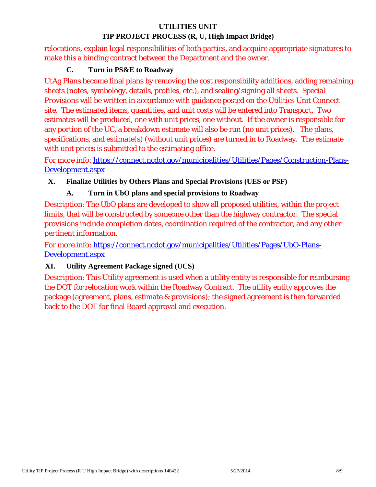#### **TIP PROJECT PROCESS (R, U, High Impact Bridge)**

relocations, explain legal responsibilities of both parties, and acquire appropriate signatures to make this a binding contract between the Department and the owner.

### **C. Turn in PS&E to Roadway**

UtAg Plans become final plans by removing the cost responsibility additions, adding remaining sheets (notes, symbology, details, profiles, etc.), and sealing/signing all sheets. Special Provisions will be written in accordance with guidance posted on the Utilities Unit Connect site. The estimated items, quantities, and unit costs will be entered into Transport. Two estimates will be produced, one with unit prices, one without. If the owner is responsible for any portion of the UC, a breakdown estimate will also be run (no unit prices). The plans, specifications, and estimate(s) (without unit prices) are turned in to Roadway. The estimate with unit prices is submitted to the estimating office.

For more info: [https://connect.ncdot.gov/municipalities/Utilities/Pages/Construction-Plans-](https://connect.ncdot.gov/municipalities/Utilities/Pages/Construction-Plans-Development.aspx)[Development.aspx](https://connect.ncdot.gov/municipalities/Utilities/Pages/Construction-Plans-Development.aspx)

**X. Finalize Utilities by Others Plans and Special Provisions (UES or PSF)**

### **A. Turn in UbO plans and special provisions to Roadway**

Description: The UbO plans are developed to show all proposed utilities, within the project limits, that will be constructed by someone other than the highway contractor. The special provisions include completion dates, coordination required of the contractor, and any other pertinent information.

For more info: [https://connect.ncdot.gov/municipalities/Utilities/Pages/UbO-Plans-](https://connect.ncdot.gov/municipalities/Utilities/Pages/UbO-Plans-Development.aspx)[Development.aspx](https://connect.ncdot.gov/municipalities/Utilities/Pages/UbO-Plans-Development.aspx)

## **XI. Utility Agreement Package signed (UCS)**

Description: This Utility agreement is used when a utility entity is responsible for reimbursing the DOT for relocation work within the Roadway Contract. The utility entity approves the package (agreement, plans, estimate & provisions); the signed agreement is then forwarded back to the DOT for final Board approval and execution.